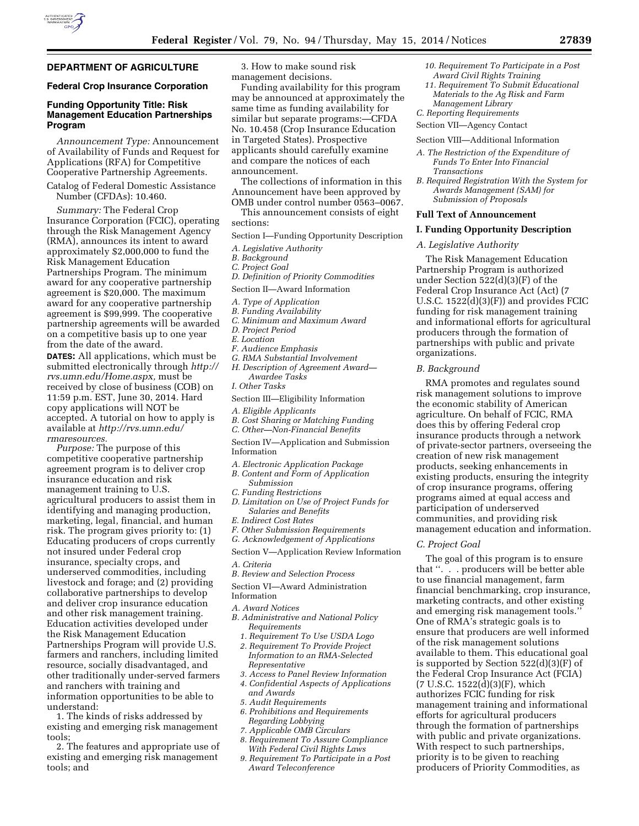

### **DEPARTMENT OF AGRICULTURE**

### **Federal Crop Insurance Corporation**

### **Funding Opportunity Title: Risk Management Education Partnerships Program**

*Announcement Type:* Announcement of Availability of Funds and Request for Applications (RFA) for Competitive Cooperative Partnership Agreements.

Catalog of Federal Domestic Assistance Number (CFDAs): 10.460.

*Summary:* The Federal Crop Insurance Corporation (FCIC), operating through the Risk Management Agency (RMA), announces its intent to award approximately \$2,000,000 to fund the Risk Management Education Partnerships Program. The minimum award for any cooperative partnership agreement is \$20,000. The maximum award for any cooperative partnership agreement is \$99,999. The cooperative partnership agreements will be awarded on a competitive basis up to one year from the date of the award.

**DATES:** All applications, which must be submitted electronically through *[http://](http://rvs.umn.edu/Home.aspx) [rvs.umn.edu/Home.aspx,](http://rvs.umn.edu/Home.aspx)* must be received by close of business (COB) on 11:59 p.m. EST, June 30, 2014. Hard copy applications will NOT be accepted. A tutorial on how to apply is available at *[http://rvs.umn.edu/](http://rvs.umn.edu/rmaresources) [rmaresources.](http://rvs.umn.edu/rmaresources)* 

*Purpose:* The purpose of this competitive cooperative partnership agreement program is to deliver crop insurance education and risk management training to U.S. agricultural producers to assist them in identifying and managing production, marketing, legal, financial, and human risk. The program gives priority to: (1) Educating producers of crops currently not insured under Federal crop insurance, specialty crops, and underserved commodities, including livestock and forage; and (2) providing collaborative partnerships to develop and deliver crop insurance education and other risk management training. Education activities developed under the Risk Management Education Partnerships Program will provide U.S. farmers and ranchers, including limited resource, socially disadvantaged, and other traditionally under-served farmers and ranchers with training and information opportunities to be able to understand:

1. The kinds of risks addressed by existing and emerging risk management tools;

2. The features and appropriate use of existing and emerging risk management tools; and

3. How to make sound risk management decisions.

Funding availability for this program may be announced at approximately the same time as funding availability for similar but separate programs:—CFDA No. 10.458 (Crop Insurance Education in Targeted States). Prospective applicants should carefully examine and compare the notices of each announcement.

The collections of information in this Announcement have been approved by OMB under control number 0563–0067.

This announcement consists of eight sections:

Section I—Funding Opportunity Description

- *A. Legislative Authority*
- *B. Background*
- *C. Project Goal*
- *D. Definition of Priority Commodities*
- Section II—Award Information
- *A. Type of Application*
- *B. Funding Availability*
- *C. Minimum and Maximum Award*
- *D. Project Period*
- *E. Location*
- *F. Audience Emphasis*
- *G. RMA Substantial Involvement*
- *H. Description of Agreement Award— Awardee Tasks*
- *I. Other Tasks*
- Section III—Eligibility Information
- *A. Eligible Applicants*
- *B. Cost Sharing or Matching Funding C. Other—Non-Financial Benefits*
- Section IV—Application and Submission Information
- 
- *A. Electronic Application Package B. Content and Form of Application*
- *Submission*
- *C. Funding Restrictions*
- *D. Limitation on Use of Project Funds for Salaries and Benefits*
- *E. Indirect Cost Rates*
- *F. Other Submission Requirements*
- *G. Acknowledgement of Applications*
- Section V—Application Review Information

*A. Criteria* 

*B. Review and Selection Process* 

Section VI—Award Administration Information

- *A. Award Notices*
- *B. Administrative and National Policy Requirements* 
	- *1. Requirement To Use USDA Logo*
	- *2. Requirement To Provide Project Information to an RMA-Selected Representative*
	- *3. Access to Panel Review Information*
	- *4. Confidential Aspects of Applications*
	- *and Awards*
	- *5. Audit Requirements*
	- *6. Prohibitions and Requirements Regarding Lobbying*
	- *7. Applicable OMB Circulars*
	- *8. Requirement To Assure Compliance With Federal Civil Rights Laws*
	- *9. Requirement To Participate in a Post Award Teleconference*
- *10. Requirement To Participate in a Post Award Civil Rights Training*
- *11. Requirement To Submit Educational Materials to the Ag Risk and Farm Management Library*
- *C. Reporting Requirements*

Section VII—Agency Contact

Section VIII—Additional Information

- *A. The Restriction of the Expenditure of Funds To Enter Into Financial Transactions*
- *B. Required Registration With the System for Awards Management (SAM) for Submission of Proposals*

#### **Full Text of Announcement**

### **I. Funding Opportunity Description**

### *A. Legislative Authority*

The Risk Management Education Partnership Program is authorized under Section 522(d)(3)(F) of the Federal Crop Insurance Act (Act) (7 U.S.C. 1522(d)(3)(F)) and provides FCIC funding for risk management training and informational efforts for agricultural producers through the formation of partnerships with public and private organizations.

#### *B. Background*

RMA promotes and regulates sound risk management solutions to improve the economic stability of American agriculture. On behalf of FCIC, RMA does this by offering Federal crop insurance products through a network of private-sector partners, overseeing the creation of new risk management products, seeking enhancements in existing products, ensuring the integrity of crop insurance programs, offering programs aimed at equal access and participation of underserved communities, and providing risk management education and information.

### *C. Project Goal*

The goal of this program is to ensure that ''. . . producers will be better able to use financial management, farm financial benchmarking, crop insurance, marketing contracts, and other existing and emerging risk management tools.'' One of RMA's strategic goals is to ensure that producers are well informed of the risk management solutions available to them. This educational goal is supported by Section 522(d)(3)(F) of the Federal Crop Insurance Act (FCIA) (7 U.S.C. 1522(d)(3)(F), which authorizes FCIC funding for risk management training and informational efforts for agricultural producers through the formation of partnerships with public and private organizations. With respect to such partnerships, priority is to be given to reaching producers of Priority Commodities, as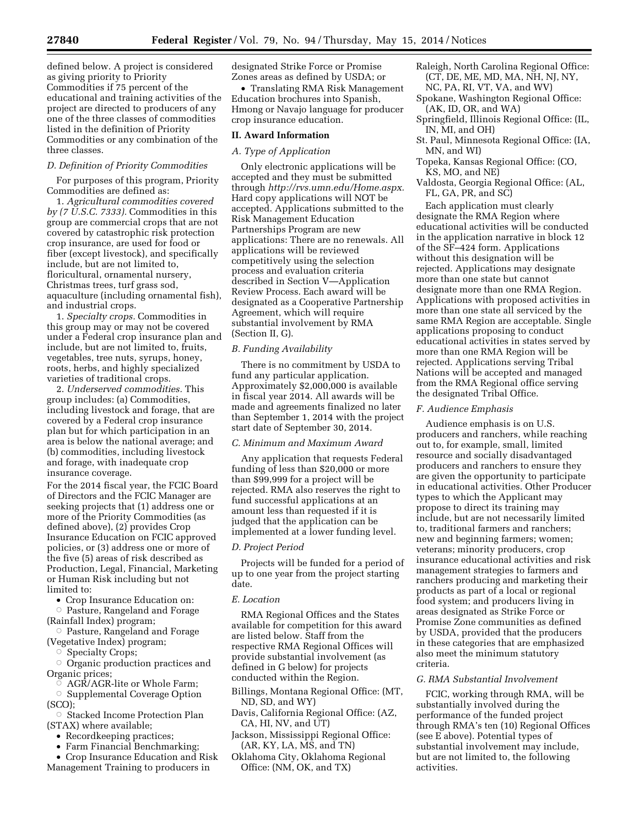defined below. A project is considered as giving priority to Priority Commodities if 75 percent of the educational and training activities of the project are directed to producers of any one of the three classes of commodities listed in the definition of Priority Commodities or any combination of the three classes.

### *D. Definition of Priority Commodities*

For purposes of this program, Priority Commodities are defined as:

1. *Agricultural commodities covered by (7 U.S.C. 7333).* Commodities in this group are commercial crops that are not covered by catastrophic risk protection crop insurance, are used for food or fiber (except livestock), and specifically include, but are not limited to, floricultural, ornamental nursery, Christmas trees, turf grass sod, aquaculture (including ornamental fish), and industrial crops.

1. *Specialty crops.* Commodities in this group may or may not be covered under a Federal crop insurance plan and include, but are not limited to, fruits, vegetables, tree nuts, syrups, honey, roots, herbs, and highly specialized varieties of traditional crops.

2. *Underserved commodities.* This group includes: (a) Commodities, including livestock and forage, that are covered by a Federal crop insurance plan but for which participation in an area is below the national average; and (b) commodities, including livestock and forage, with inadequate crop insurance coverage.

For the 2014 fiscal year, the FCIC Board of Directors and the FCIC Manager are seeking projects that (1) address one or more of the Priority Commodities (as defined above), (2) provides Crop Insurance Education on FCIC approved policies, or (3) address one or more of the five (5) areas of risk described as Production, Legal, Financial, Marketing or Human Risk including but not limited to:

• Crop Insurance Education on:

Æ Pasture, Rangeland and Forage

- (Rainfall Index) program;
- **Pasture, Rangeland and Forage** (Vegetative Index) program;
	- Specialty Crops;

Æ Organic production practices and Organic prices;

 $\sigma$  AGR/AGR-lite or Whole Farm;

**Supplemental Coverage Option** (SCO);

 $\circ$  Stacked Income Protection Plan (STAX) where available;

- Recordkeeping practices;
- Farm Financial Benchmarking;
- Crop Insurance Education and Risk Management Training to producers in

designated Strike Force or Promise Zones areas as defined by USDA; or

• Translating RMA Risk Management Education brochures into Spanish, Hmong or Navajo language for producer crop insurance education.

#### **II. Award Information**

### *A. Type of Application*

Only electronic applications will be accepted and they must be submitted through *[http://rvs.umn.edu/Home.aspx.](http://rvs.umn.edu/Home.aspx)*  Hard copy applications will NOT be accepted. Applications submitted to the Risk Management Education Partnerships Program are new applications: There are no renewals. All applications will be reviewed competitively using the selection process and evaluation criteria described in Section V—Application Review Process. Each award will be designated as a Cooperative Partnership Agreement, which will require substantial involvement by RMA (Section II, G).

### *B. Funding Availability*

There is no commitment by USDA to fund any particular application. Approximately \$2,000,000 is available in fiscal year 2014. All awards will be made and agreements finalized no later than September 1, 2014 with the project start date of September 30, 2014.

#### *C. Minimum and Maximum Award*

Any application that requests Federal funding of less than \$20,000 or more than \$99,999 for a project will be rejected. RMA also reserves the right to fund successful applications at an amount less than requested if it is judged that the application can be implemented at a lower funding level.

#### *D. Project Period*

Projects will be funded for a period of up to one year from the project starting date.

#### *E. Location*

RMA Regional Offices and the States available for competition for this award are listed below. Staff from the respective RMA Regional Offices will provide substantial involvement (as defined in G below) for projects conducted within the Region.

Billings, Montana Regional Office: (MT, ND, SD, and WY)

- Davis, California Regional Office: (AZ, CA, HI, NV, and UT)
- Jackson, Mississippi Regional Office: (AR, KY, LA, MS, and TN)
- Oklahoma City, Oklahoma Regional Office: (NM, OK, and TX)
- Raleigh, North Carolina Regional Office: (CT, DE, ME, MD, MA, NH, NJ, NY, NC, PA, RI, VT, VA, and WV)
- Spokane, Washington Regional Office: (AK, ID, OR, and WA)
- Springfield, Illinois Regional Office: (IL, IN, MI, and OH)
- St. Paul, Minnesota Regional Office: (IA, MN, and WI)
- Topeka, Kansas Regional Office: (CO, KS, MO, and NE)
- Valdosta, Georgia Regional Office: (AL, FL, GA, PR, and SC)

Each application must clearly designate the RMA Region where educational activities will be conducted in the application narrative in block 12 of the SF–424 form. Applications without this designation will be rejected. Applications may designate more than one state but cannot designate more than one RMA Region. Applications with proposed activities in more than one state all serviced by the same RMA Region are acceptable. Single applications proposing to conduct educational activities in states served by more than one RMA Region will be rejected. Applications serving Tribal Nations will be accepted and managed from the RMA Regional office serving the designated Tribal Office.

#### *F. Audience Emphasis*

Audience emphasis is on U.S. producers and ranchers, while reaching out to, for example, small, limited resource and socially disadvantaged producers and ranchers to ensure they are given the opportunity to participate in educational activities. Other Producer types to which the Applicant may propose to direct its training may include, but are not necessarily limited to, traditional farmers and ranchers; new and beginning farmers; women; veterans; minority producers, crop insurance educational activities and risk management strategies to farmers and ranchers producing and marketing their products as part of a local or regional food system; and producers living in areas designated as Strike Force or Promise Zone communities as defined by USDA, provided that the producers in these categories that are emphasized also meet the minimum statutory criteria.

### *G. RMA Substantial Involvement*

FCIC, working through RMA, will be substantially involved during the performance of the funded project through RMA's ten (10) Regional Offices (see E above). Potential types of substantial involvement may include, but are not limited to, the following activities.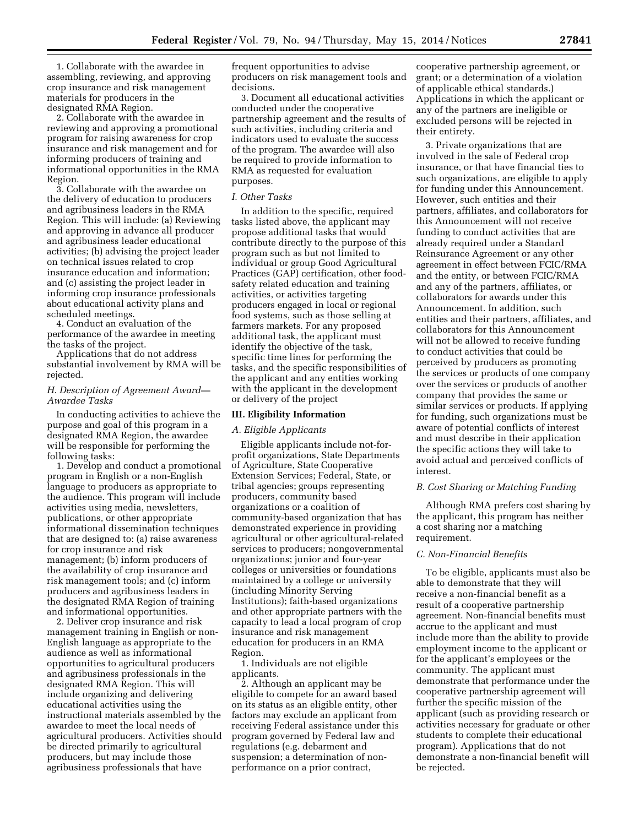1. Collaborate with the awardee in assembling, reviewing, and approving crop insurance and risk management materials for producers in the designated RMA Region.

2. Collaborate with the awardee in reviewing and approving a promotional program for raising awareness for crop insurance and risk management and for informing producers of training and informational opportunities in the RMA Region.

3. Collaborate with the awardee on the delivery of education to producers and agribusiness leaders in the RMA Region. This will include: (a) Reviewing and approving in advance all producer and agribusiness leader educational activities; (b) advising the project leader on technical issues related to crop insurance education and information; and (c) assisting the project leader in informing crop insurance professionals about educational activity plans and scheduled meetings.

4. Conduct an evaluation of the performance of the awardee in meeting the tasks of the project.

Applications that do not address substantial involvement by RMA will be rejected.

### *H. Description of Agreement Award— Awardee Tasks*

In conducting activities to achieve the purpose and goal of this program in a designated RMA Region, the awardee will be responsible for performing the following tasks:

1. Develop and conduct a promotional program in English or a non-English language to producers as appropriate to the audience. This program will include activities using media, newsletters, publications, or other appropriate informational dissemination techniques that are designed to: (a) raise awareness for crop insurance and risk management; (b) inform producers of the availability of crop insurance and risk management tools; and (c) inform producers and agribusiness leaders in the designated RMA Region of training and informational opportunities.

2. Deliver crop insurance and risk management training in English or non-English language as appropriate to the audience as well as informational opportunities to agricultural producers and agribusiness professionals in the designated RMA Region. This will include organizing and delivering educational activities using the instructional materials assembled by the awardee to meet the local needs of agricultural producers. Activities should be directed primarily to agricultural producers, but may include those agribusiness professionals that have

frequent opportunities to advise producers on risk management tools and decisions.

3. Document all educational activities conducted under the cooperative partnership agreement and the results of such activities, including criteria and indicators used to evaluate the success of the program. The awardee will also be required to provide information to RMA as requested for evaluation purposes.

#### *I. Other Tasks*

In addition to the specific, required tasks listed above, the applicant may propose additional tasks that would contribute directly to the purpose of this program such as but not limited to individual or group Good Agricultural Practices (GAP) certification, other foodsafety related education and training activities, or activities targeting producers engaged in local or regional food systems, such as those selling at farmers markets. For any proposed additional task, the applicant must identify the objective of the task, specific time lines for performing the tasks, and the specific responsibilities of the applicant and any entities working with the applicant in the development or delivery of the project

#### **III. Eligibility Information**

#### *A. Eligible Applicants*

Eligible applicants include not-forprofit organizations, State Departments of Agriculture, State Cooperative Extension Services; Federal, State, or tribal agencies; groups representing producers, community based organizations or a coalition of community-based organization that has demonstrated experience in providing agricultural or other agricultural-related services to producers; nongovernmental organizations; junior and four-year colleges or universities or foundations maintained by a college or university (including Minority Serving Institutions); faith-based organizations and other appropriate partners with the capacity to lead a local program of crop insurance and risk management education for producers in an RMA Region.

1. Individuals are not eligible applicants.

2. Although an applicant may be eligible to compete for an award based on its status as an eligible entity, other factors may exclude an applicant from receiving Federal assistance under this program governed by Federal law and regulations (e.g. debarment and suspension; a determination of nonperformance on a prior contract,

cooperative partnership agreement, or grant; or a determination of a violation of applicable ethical standards.) Applications in which the applicant or any of the partners are ineligible or excluded persons will be rejected in their entirety.

3. Private organizations that are involved in the sale of Federal crop insurance, or that have financial ties to such organizations, are eligible to apply for funding under this Announcement. However, such entities and their partners, affiliates, and collaborators for this Announcement will not receive funding to conduct activities that are already required under a Standard Reinsurance Agreement or any other agreement in effect between FCIC/RMA and the entity, or between FCIC/RMA and any of the partners, affiliates, or collaborators for awards under this Announcement. In addition, such entities and their partners, affiliates, and collaborators for this Announcement will not be allowed to receive funding to conduct activities that could be perceived by producers as promoting the services or products of one company over the services or products of another company that provides the same or similar services or products. If applying for funding, such organizations must be aware of potential conflicts of interest and must describe in their application the specific actions they will take to avoid actual and perceived conflicts of interest.

### *B. Cost Sharing or Matching Funding*

Although RMA prefers cost sharing by the applicant, this program has neither a cost sharing nor a matching requirement.

### *C. Non-Financial Benefits*

To be eligible, applicants must also be able to demonstrate that they will receive a non-financial benefit as a result of a cooperative partnership agreement. Non-financial benefits must accrue to the applicant and must include more than the ability to provide employment income to the applicant or for the applicant's employees or the community. The applicant must demonstrate that performance under the cooperative partnership agreement will further the specific mission of the applicant (such as providing research or activities necessary for graduate or other students to complete their educational program). Applications that do not demonstrate a non-financial benefit will be rejected.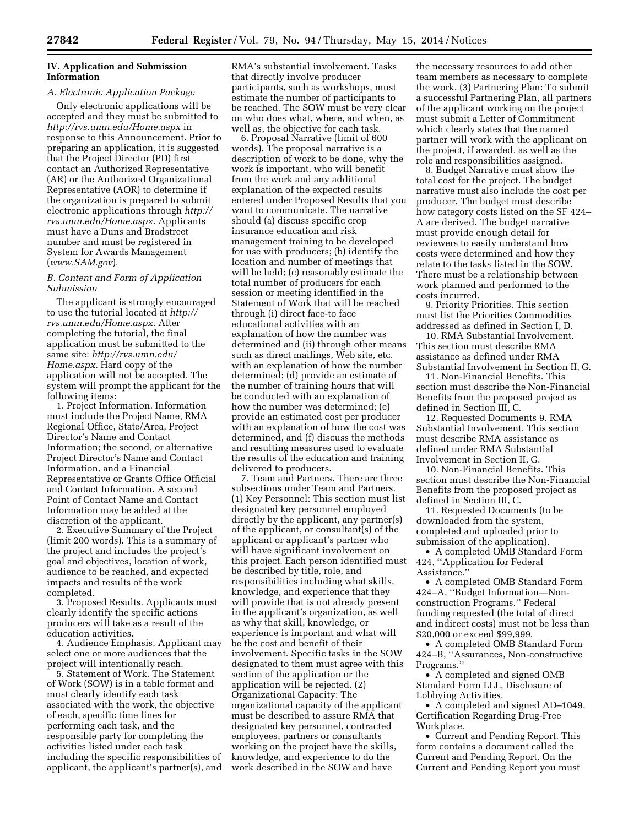### **IV. Application and Submission Information**

# *A. Electronic Application Package*

Only electronic applications will be accepted and they must be submitted to *<http://rvs.umn.edu/Home.aspx>* in response to this Announcement. Prior to preparing an application, it is suggested that the Project Director (PD) first contact an Authorized Representative (AR) or the Authorized Organizational Representative (AOR) to determine if the organization is prepared to submit electronic applications through *[http://](http://rvs.umn.edu/Home.aspx) [rvs.umn.edu/Home.aspx.](http://rvs.umn.edu/Home.aspx)* Applicants must have a Duns and Bradstreet number and must be registered in System for Awards Management (*[www.SAM.gov](http://www.SAM.gov)*).

### *B. Content and Form of Application Submission*

The applicant is strongly encouraged to use the tutorial located at *[http://](http://rvs.umn.edu/Home.aspx) [rvs.umn.edu/Home.aspx.](http://rvs.umn.edu/Home.aspx)* After completing the tutorial, the final application must be submitted to the same site: *[http://rvs.umn.edu/](http://rvs.umn.edu/Home.aspx) [Home.aspx.](http://rvs.umn.edu/Home.aspx)* Hard copy of the application will not be accepted. The system will prompt the applicant for the following items:

1. Project Information. Information must include the Project Name, RMA Regional Office, State/Area, Project Director's Name and Contact Information; the second, or alternative Project Director's Name and Contact Information, and a Financial Representative or Grants Office Official and Contact Information. A second Point of Contact Name and Contact Information may be added at the discretion of the applicant.

2. Executive Summary of the Project (limit 200 words). This is a summary of the project and includes the project's goal and objectives, location of work, audience to be reached, and expected impacts and results of the work completed.

3. Proposed Results. Applicants must clearly identify the specific actions producers will take as a result of the education activities.

4. Audience Emphasis. Applicant may select one or more audiences that the project will intentionally reach.

5. Statement of Work. The Statement of Work (SOW) is in a table format and must clearly identify each task associated with the work, the objective of each, specific time lines for performing each task, and the responsible party for completing the activities listed under each task including the specific responsibilities of applicant, the applicant's partner(s), and RMA's substantial involvement. Tasks that directly involve producer participants, such as workshops, must estimate the number of participants to be reached. The SOW must be very clear on who does what, where, and when, as well as, the objective for each task.

6. Proposal Narrative (limit of 600 words). The proposal narrative is a description of work to be done, why the work is important, who will benefit from the work and any additional explanation of the expected results entered under Proposed Results that you want to communicate. The narrative should (a) discuss specific crop insurance education and risk management training to be developed for use with producers; (b) identify the location and number of meetings that will be held; (c) reasonably estimate the total number of producers for each session or meeting identified in the Statement of Work that will be reached through (i) direct face-to face educational activities with an explanation of how the number was determined and (ii) through other means such as direct mailings, Web site, etc. with an explanation of how the number determined; (d) provide an estimate of the number of training hours that will be conducted with an explanation of how the number was determined; (e) provide an estimated cost per producer with an explanation of how the cost was determined, and (f) discuss the methods and resulting measures used to evaluate the results of the education and training delivered to producers.

7. Team and Partners. There are three subsections under Team and Partners. (1) Key Personnel: This section must list designated key personnel employed directly by the applicant, any partner(s) of the applicant, or consultant(s) of the applicant or applicant's partner who will have significant involvement on this project. Each person identified must be described by title, role, and responsibilities including what skills, knowledge, and experience that they will provide that is not already present in the applicant's organization, as well as why that skill, knowledge, or experience is important and what will be the cost and benefit of their involvement. Specific tasks in the SOW designated to them must agree with this section of the application or the application will be rejected. (2) Organizational Capacity: The organizational capacity of the applicant must be described to assure RMA that designated key personnel, contracted employees, partners or consultants working on the project have the skills, knowledge, and experience to do the work described in the SOW and have

the necessary resources to add other team members as necessary to complete the work. (3) Partnering Plan: To submit a successful Partnering Plan, all partners of the applicant working on the project must submit a Letter of Commitment which clearly states that the named partner will work with the applicant on the project, if awarded, as well as the role and responsibilities assigned.

8. Budget Narrative must show the total cost for the project. The budget narrative must also include the cost per producer. The budget must describe how category costs listed on the SF 424– A are derived. The budget narrative must provide enough detail for reviewers to easily understand how costs were determined and how they relate to the tasks listed in the SOW. There must be a relationship between work planned and performed to the costs incurred.

9. Priority Priorities. This section must list the Priorities Commodities addressed as defined in Section I, D.

10. RMA Substantial Involvement. This section must describe RMA assistance as defined under RMA Substantial Involvement in Section II, G.

11. Non-Financial Benefits. This section must describe the Non-Financial Benefits from the proposed project as defined in Section III, C.

12. Requested Documents 9. RMA Substantial Involvement. This section must describe RMA assistance as defined under RMA Substantial Involvement in Section II, G.

10. Non-Financial Benefits. This section must describe the Non-Financial Benefits from the proposed project as defined in Section III, C.

11. Requested Documents (to be downloaded from the system, completed and uploaded prior to submission of the application).

• A completed OMB Standard Form 424, ''Application for Federal Assistance.''

• A completed OMB Standard Form 424–A, ''Budget Information—Nonconstruction Programs.'' Federal funding requested (the total of direct and indirect costs) must not be less than \$20,000 or exceed \$99,999.

• A completed OMB Standard Form 424–B, ''Assurances, Non-constructive Programs.''

• A completed and signed OMB Standard Form LLL, Disclosure of Lobbying Activities.

• A completed and signed AD–1049, Certification Regarding Drug-Free Workplace.

• Current and Pending Report. This form contains a document called the Current and Pending Report. On the Current and Pending Report you must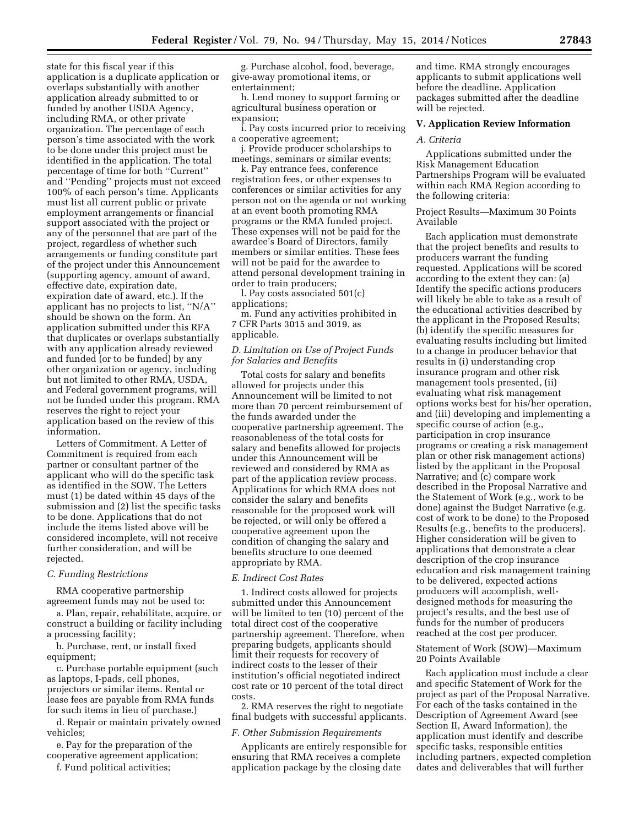state for this fiscal year if this application is a duplicate application or overlaps substantially with another application already submitted to or funded by another USDA Agency, including RMA, or other private organization. The percentage of each person's time associated with the work to be done under this project must be identified in the application. The total percentage of time for both ''Current'' and ''Pending'' projects must not exceed 100% of each person's time. Applicants must list all current public or private employment arrangements or financial support associated with the project or any of the personnel that are part of the project, regardless of whether such arrangements or funding constitute part of the project under this Announcement (supporting agency, amount of award, effective date, expiration date, expiration date of award, etc.). If the applicant has no projects to list, ''N/A'' should be shown on the form. An application submitted under this RFA that duplicates or overlaps substantially with any application already reviewed and funded (or to be funded) by any other organization or agency, including but not limited to other RMA, USDA, and Federal government programs, will not be funded under this program. RMA reserves the right to reject your application based on the review of this information.

Letters of Commitment. A Letter of Commitment is required from each partner or consultant partner of the applicant who will do the specific task as identified in the SOW. The Letters must (1) be dated within 45 days of the submission and (2) list the specific tasks to be done. Applications that do not include the items listed above will be considered incomplete, will not receive further consideration, and will be rejected.

### *C. Funding Restrictions*

RMA cooperative partnership agreement funds may not be used to:

a. Plan, repair, rehabilitate, acquire, or construct a building or facility including a processing facility;

b. Purchase, rent, or install fixed equipment;

c. Purchase portable equipment (such as laptops, I-pads, cell phones, projectors or similar items. Rental or lease fees are payable from RMA funds for such items in lieu of purchase.)

d. Repair or maintain privately owned vehicles;

e. Pay for the preparation of the cooperative agreement application;

f. Fund political activities;

g. Purchase alcohol, food, beverage, give-away promotional items, or entertainment;

h. Lend money to support farming or agricultural business operation or expansion;

i. Pay costs incurred prior to receiving a cooperative agreement;

j. Provide producer scholarships to meetings, seminars or similar events;

k. Pay entrance fees, conference registration fees, or other expenses to conferences or similar activities for any person not on the agenda or not working at an event booth promoting RMA programs or the RMA funded project. These expenses will not be paid for the awardee's Board of Directors, family members or similar entities. These fees will not be paid for the awardee to attend personal development training in order to train producers;

l. Pay costs associated 501(c) applications;

m. Fund any activities prohibited in 7 CFR Parts 3015 and 3019, as applicable.

### *D. Limitation on Use of Project Funds for Salaries and Benefits*

Total costs for salary and benefits allowed for projects under this Announcement will be limited to not more than 70 percent reimbursement of the funds awarded under the cooperative partnership agreement. The reasonableness of the total costs for salary and benefits allowed for projects under this Announcement will be reviewed and considered by RMA as part of the application review process. Applications for which RMA does not consider the salary and benefits reasonable for the proposed work will be rejected, or will only be offered a cooperative agreement upon the condition of changing the salary and benefits structure to one deemed appropriate by RMA.

#### *E. Indirect Cost Rates*

1. Indirect costs allowed for projects submitted under this Announcement will be limited to ten (10) percent of the total direct cost of the cooperative partnership agreement. Therefore, when preparing budgets, applicants should limit their requests for recovery of indirect costs to the lesser of their institution's official negotiated indirect cost rate or 10 percent of the total direct costs.

2. RMA reserves the right to negotiate final budgets with successful applicants.

#### *F. Other Submission Requirements*

Applicants are entirely responsible for ensuring that RMA receives a complete application package by the closing date

and time. RMA strongly encourages applicants to submit applications well before the deadline. Application packages submitted after the deadline will be rejected.

# **V. Application Review Information**

#### *A. Criteria*

Applications submitted under the Risk Management Education Partnerships Program will be evaluated within each RMA Region according to the following criteria:

Project Results—Maximum 30 Points Available

Each application must demonstrate that the project benefits and results to producers warrant the funding requested. Applications will be scored according to the extent they can: (a) Identify the specific actions producers will likely be able to take as a result of the educational activities described by the applicant in the Proposed Results; (b) identify the specific measures for evaluating results including but limited to a change in producer behavior that results in (i) understanding crop insurance program and other risk management tools presented, (ii) evaluating what risk management options works best for his/her operation, and (iii) developing and implementing a specific course of action (e.g., participation in crop insurance programs or creating a risk management plan or other risk management actions) listed by the applicant in the Proposal Narrative; and (c) compare work described in the Proposal Narrative and the Statement of Work (e.g., work to be done) against the Budget Narrative (e.g. cost of work to be done) to the Proposed Results (e.g., benefits to the producers). Higher consideration will be given to applications that demonstrate a clear description of the crop insurance education and risk management training to be delivered, expected actions producers will accomplish, welldesigned methods for measuring the project's results, and the best use of funds for the number of producers reached at the cost per producer.

### Statement of Work (SOW)—Maximum 20 Points Available

Each application must include a clear and specific Statement of Work for the project as part of the Proposal Narrative. For each of the tasks contained in the Description of Agreement Award (see Section II, Award Information), the application must identify and describe specific tasks, responsible entities including partners, expected completion dates and deliverables that will further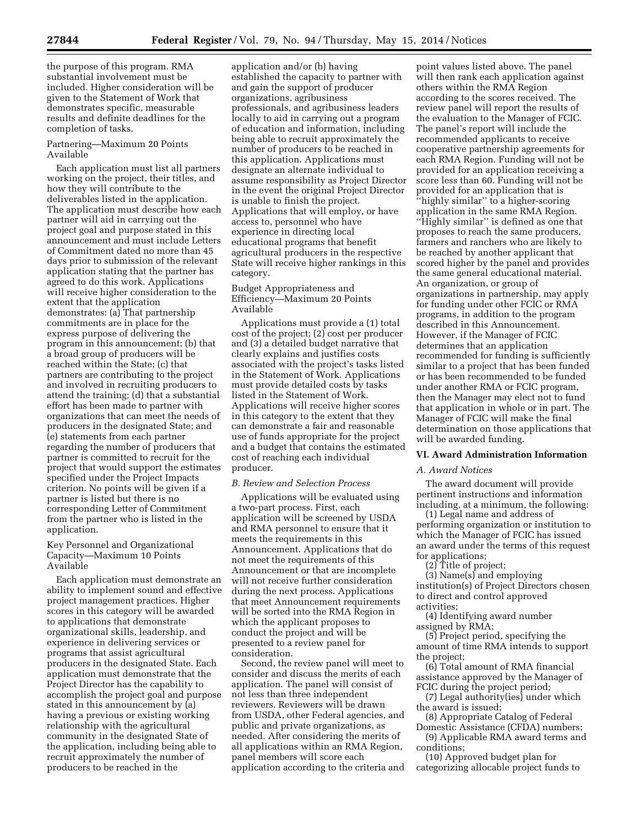the purpose of this program. RMA substantial involvement must be included. Higher consideration will be given to the Statement of Work that demonstrates specific, measurable results and definite deadlines for the completion of tasks.

### Partnering—Maximum 20 Points Available

Each application must list all partners working on the project, their titles, and how they will contribute to the deliverables listed in the application. The application must describe how each partner will aid in carrying out the project goal and purpose stated in this announcement and must include Letters of Commitment dated no more than 45 days prior to submission of the relevant application stating that the partner has agreed to do this work. Applications will receive higher consideration to the extent that the application demonstrates: (a) That partnership commitments are in place for the express purpose of delivering the program in this announcement; (b) that a broad group of producers will be reached within the State; (c) that partners are contributing to the project and involved in recruiting producers to attend the training; (d) that a substantial effort has been made to partner with organizations that can meet the needs of producers in the designated State; and (e) statements from each partner regarding the number of producers that partner is committed to recruit for the project that would support the estimates specified under the Project Impacts criterion. No points will be given if a partner is listed but there is no corresponding Letter of Commitment from the partner who is listed in the application.

Key Personnel and Organizational Capacity—Maximum 10 Points Available

Each application must demonstrate an ability to implement sound and effective project management practices. Higher scores in this category will be awarded to applications that demonstrate organizational skills, leadership, and experience in delivering services or programs that assist agricultural producers in the designated State. Each application must demonstrate that the Project Director has the capability to accomplish the project goal and purpose stated in this announcement by (a) having a previous or existing working relationship with the agricultural community in the designated State of the application, including being able to recruit approximately the number of producers to be reached in the

application and/or (b) having established the capacity to partner with and gain the support of producer organizations, agribusiness professionals, and agribusiness leaders locally to aid in carrying out a program of education and information, including being able to recruit approximately the number of producers to be reached in this application. Applications must designate an alternate individual to assume responsibility as Project Director in the event the original Project Director is unable to finish the project. Applications that will employ, or have access to, personnel who have experience in directing local educational programs that benefit agricultural producers in the respective State will receive higher rankings in this category.

### Budget Appropriateness and Efficiency—Maximum 20 Points Available

Applications must provide a (1) total cost of the project; (2) cost per producer and (3) a detailed budget narrative that clearly explains and justifies costs associated with the project's tasks listed in the Statement of Work. Applications must provide detailed costs by tasks listed in the Statement of Work. Applications will receive higher scores in this category to the extent that they can demonstrate a fair and reasonable use of funds appropriate for the project and a budget that contains the estimated cost of reaching each individual producer.

### *B. Review and Selection Process*

Applications will be evaluated using a two-part process. First, each application will be screened by USDA and RMA personnel to ensure that it meets the requirements in this Announcement. Applications that do not meet the requirements of this Announcement or that are incomplete will not receive further consideration during the next process. Applications that meet Announcement requirements will be sorted into the RMA Region in which the applicant proposes to conduct the project and will be presented to a review panel for consideration.

Second, the review panel will meet to consider and discuss the merits of each application. The panel will consist of not less than three independent reviewers. Reviewers will be drawn from USDA, other Federal agencies, and public and private organizations, as needed. After considering the merits of all applications within an RMA Region, panel members will score each application according to the criteria and

point values listed above. The panel will then rank each application against others within the RMA Region according to the scores received. The review panel will report the results of the evaluation to the Manager of FCIC. The panel's report will include the recommended applicants to receive cooperative partnership agreements for each RMA Region. Funding will not be provided for an application receiving a score less than 60. Funding will not be provided for an application that is ''highly similar'' to a higher-scoring application in the same RMA Region. ''Highly similar'' is defined as one that proposes to reach the same producers, farmers and ranchers who are likely to be reached by another applicant that scored higher by the panel and provides the same general educational material. An organization, or group of organizations in partnership, may apply for funding under other FCIC or RMA programs, in addition to the program described in this Announcement. However, if the Manager of FCIC determines that an application recommended for funding is sufficiently similar to a project that has been funded or has been recommended to be funded under another RMA or FCIC program, then the Manager may elect not to fund that application in whole or in part. The Manager of FCIC will make the final determination on those applications that will be awarded funding.

### **VI. Award Administration Information**

### *A. Award Notices*

The award document will provide pertinent instructions and information including, at a minimum, the following:

(1) Legal name and address of performing organization or institution to which the Manager of FCIC has issued an award under the terms of this request for applications;

(2) Title of project;

(3) Name(s) and employing institution(s) of Project Directors chosen to direct and control approved activities;

(4) Identifying award number assigned by RMA;

(5) Project period, specifying the amount of time RMA intends to support the project;

(6) Total amount of RMA financial assistance approved by the Manager of FCIC during the project period;

(7) Legal authority(ies) under which the award is issued;

(8) Appropriate Catalog of Federal Domestic Assistance (CFDA) numbers;

(9) Applicable RMA award terms and conditions;

(10) Approved budget plan for categorizing allocable project funds to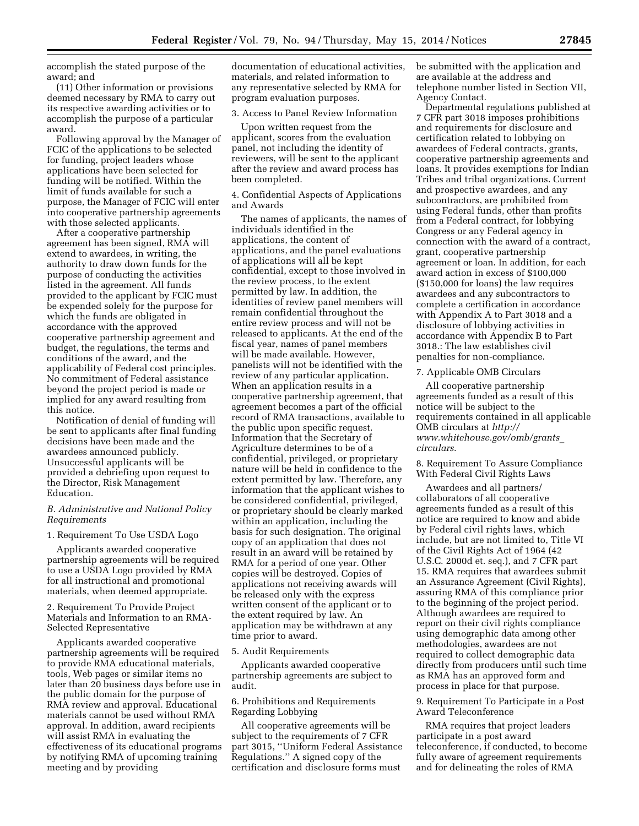accomplish the stated purpose of the award; and

(11) Other information or provisions deemed necessary by RMA to carry out its respective awarding activities or to accomplish the purpose of a particular award.

Following approval by the Manager of FCIC of the applications to be selected for funding, project leaders whose applications have been selected for funding will be notified. Within the limit of funds available for such a purpose, the Manager of FCIC will enter into cooperative partnership agreements with those selected applicants.

After a cooperative partnership agreement has been signed, RMA will extend to awardees, in writing, the authority to draw down funds for the purpose of conducting the activities listed in the agreement. All funds provided to the applicant by FCIC must be expended solely for the purpose for which the funds are obligated in accordance with the approved cooperative partnership agreement and budget, the regulations, the terms and conditions of the award, and the applicability of Federal cost principles. No commitment of Federal assistance beyond the project period is made or implied for any award resulting from this notice.

Notification of denial of funding will be sent to applicants after final funding decisions have been made and the awardees announced publicly. Unsuccessful applicants will be provided a debriefing upon request to the Director, Risk Management Education.

### *B. Administrative and National Policy Requirements*

#### 1. Requirement To Use USDA Logo

Applicants awarded cooperative partnership agreements will be required to use a USDA Logo provided by RMA for all instructional and promotional materials, when deemed appropriate.

2. Requirement To Provide Project Materials and Information to an RMA-Selected Representative

Applicants awarded cooperative partnership agreements will be required to provide RMA educational materials, tools, Web pages or similar items no later than 20 business days before use in the public domain for the purpose of RMA review and approval. Educational materials cannot be used without RMA approval. In addition, award recipients will assist RMA in evaluating the effectiveness of its educational programs by notifying RMA of upcoming training meeting and by providing

documentation of educational activities, materials, and related information to any representative selected by RMA for program evaluation purposes.

### 3. Access to Panel Review Information

Upon written request from the applicant, scores from the evaluation panel, not including the identity of reviewers, will be sent to the applicant after the review and award process has been completed.

4. Confidential Aspects of Applications and Awards

The names of applicants, the names of individuals identified in the applications, the content of applications, and the panel evaluations of applications will all be kept confidential, except to those involved in the review process, to the extent permitted by law. In addition, the identities of review panel members will remain confidential throughout the entire review process and will not be released to applicants. At the end of the fiscal year, names of panel members will be made available. However, panelists will not be identified with the review of any particular application. When an application results in a cooperative partnership agreement, that agreement becomes a part of the official record of RMA transactions, available to the public upon specific request. Information that the Secretary of Agriculture determines to be of a confidential, privileged, or proprietary nature will be held in confidence to the extent permitted by law. Therefore, any information that the applicant wishes to be considered confidential, privileged, or proprietary should be clearly marked within an application, including the basis for such designation. The original copy of an application that does not result in an award will be retained by RMA for a period of one year. Other copies will be destroyed. Copies of applications not receiving awards will be released only with the express written consent of the applicant or to the extent required by law. An application may be withdrawn at any time prior to award.

### 5. Audit Requirements

Applicants awarded cooperative partnership agreements are subject to audit.

6. Prohibitions and Requirements Regarding Lobbying

All cooperative agreements will be subject to the requirements of 7 CFR part 3015, ''Uniform Federal Assistance Regulations.'' A signed copy of the certification and disclosure forms must

be submitted with the application and are available at the address and telephone number listed in Section VII, Agency Contact.

Departmental regulations published at 7 CFR part 3018 imposes prohibitions and requirements for disclosure and certification related to lobbying on awardees of Federal contracts, grants, cooperative partnership agreements and loans. It provides exemptions for Indian Tribes and tribal organizations. Current and prospective awardees, and any subcontractors, are prohibited from using Federal funds, other than profits from a Federal contract, for lobbying Congress or any Federal agency in connection with the award of a contract, grant, cooperative partnership agreement or loan. In addition, for each award action in excess of \$100,000 (\$150,000 for loans) the law requires awardees and any subcontractors to complete a certification in accordance with Appendix A to Part 3018 and a disclosure of lobbying activities in accordance with Appendix B to Part 3018.: The law establishes civil penalties for non-compliance.

## 7. Applicable OMB Circulars

All cooperative partnership agreements funded as a result of this notice will be subject to the requirements contained in all applicable OMB circulars at *[http://](http://www.whitehouse.gov/omb/grants_circulars) [www.whitehouse.gov/omb/grants](http://www.whitehouse.gov/omb/grants_circulars)*\_ *[circulars](http://www.whitehouse.gov/omb/grants_circulars)*.

### 8. Requirement To Assure Compliance With Federal Civil Rights Laws

Awardees and all partners/ collaborators of all cooperative agreements funded as a result of this notice are required to know and abide by Federal civil rights laws, which include, but are not limited to, Title VI of the Civil Rights Act of 1964 (42 U.S.C. 2000d et. seq.), and 7 CFR part 15. RMA requires that awardees submit an Assurance Agreement (Civil Rights), assuring RMA of this compliance prior to the beginning of the project period. Although awardees are required to report on their civil rights compliance using demographic data among other methodologies, awardees are not required to collect demographic data directly from producers until such time as RMA has an approved form and process in place for that purpose.

### 9. Requirement To Participate in a Post Award Teleconference

RMA requires that project leaders participate in a post award teleconference, if conducted, to become fully aware of agreement requirements and for delineating the roles of RMA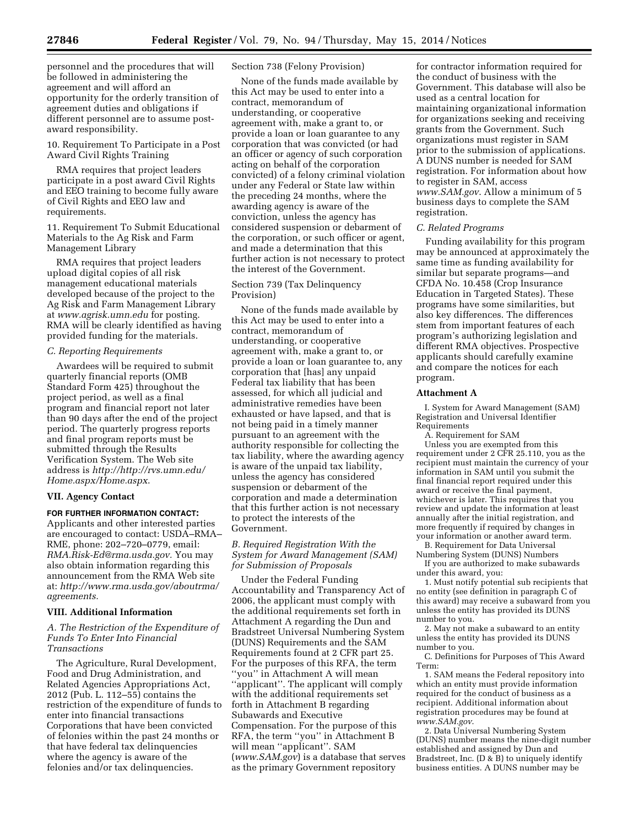personnel and the procedures that will be followed in administering the agreement and will afford an opportunity for the orderly transition of agreement duties and obligations if different personnel are to assume postaward responsibility.

10. Requirement To Participate in a Post Award Civil Rights Training

RMA requires that project leaders participate in a post award Civil Rights and EEO training to become fully aware of Civil Rights and EEO law and requirements.

11. Requirement To Submit Educational Materials to the Ag Risk and Farm Management Library

RMA requires that project leaders upload digital copies of all risk management educational materials developed because of the project to the Ag Risk and Farm Management Library at *[www.agrisk.umn.edu](http://www.agrisk.umn.edu)* for posting. RMA will be clearly identified as having provided funding for the materials.

#### *C. Reporting Requirements*

Awardees will be required to submit quarterly financial reports (OMB Standard Form 425) throughout the project period, as well as a final program and financial report not later than 90 days after the end of the project period. The quarterly progress reports and final program reports must be submitted through the Results Verification System. The Web site address is *http://[http://rvs.umn.edu/](http://rvs.umn.edu/Home.aspx/Home.aspx) [Home.aspx/Home.aspx](http://rvs.umn.edu/Home.aspx/Home.aspx)*.

#### **VII. Agency Contact**

#### **FOR FURTHER INFORMATION CONTACT:**

Applicants and other interested parties are encouraged to contact: USDA–RMA– RME, phone: 202–720–0779, email: *[RMA.Risk-Ed@rma.usda.gov.](mailto:RMA.Risk-Ed@rma.usda.gov)* You may also obtain information regarding this announcement from the RMA Web site at: *[http://www.rma.usda.gov/aboutrma/](http://www.rma.usda.gov/aboutrma/agreements) [agreements.](http://www.rma.usda.gov/aboutrma/agreements)* 

#### **VIII. Additional Information**

*A. The Restriction of the Expenditure of Funds To Enter Into Financial Transactions* 

The Agriculture, Rural Development, Food and Drug Administration, and Related Agencies Appropriations Act, 2012 (Pub. L. 112–55) contains the restriction of the expenditure of funds to enter into financial transactions Corporations that have been convicted of felonies within the past 24 months or that have federal tax delinquencies where the agency is aware of the felonies and/or tax delinquencies.

### Section 738 (Felony Provision)

None of the funds made available by this Act may be used to enter into a contract, memorandum of understanding, or cooperative agreement with, make a grant to, or provide a loan or loan guarantee to any corporation that was convicted (or had an officer or agency of such corporation acting on behalf of the corporation convicted) of a felony criminal violation under any Federal or State law within the preceding 24 months, where the awarding agency is aware of the conviction, unless the agency has considered suspension or debarment of the corporation, or such officer or agent, and made a determination that this further action is not necessary to protect the interest of the Government.

### Section 739 (Tax Delinquency Provision)

None of the funds made available by this Act may be used to enter into a contract, memorandum of understanding, or cooperative agreement with, make a grant to, or provide a loan or loan guarantee to, any corporation that [has] any unpaid Federal tax liability that has been assessed, for which all judicial and administrative remedies have been exhausted or have lapsed, and that is not being paid in a timely manner pursuant to an agreement with the authority responsible for collecting the tax liability, where the awarding agency is aware of the unpaid tax liability, unless the agency has considered suspension or debarment of the corporation and made a determination that this further action is not necessary to protect the interests of the Government.

### *B. Required Registration With the System for Award Management (SAM) for Submission of Proposals*

Under the Federal Funding Accountability and Transparency Act of 2006, the applicant must comply with the additional requirements set forth in Attachment A regarding the Dun and Bradstreet Universal Numbering System (DUNS) Requirements and the SAM Requirements found at 2 CFR part 25. For the purposes of this RFA, the term ''you'' in Attachment A will mean ''applicant''. The applicant will comply with the additional requirements set forth in Attachment B regarding Subawards and Executive Compensation. For the purpose of this RFA, the term ''you'' in Attachment B will mean ''applicant''. SAM (*[www.SAM.gov](http://www.SAM.gov)*) is a database that serves as the primary Government repository

for contractor information required for the conduct of business with the Government. This database will also be used as a central location for maintaining organizational information for organizations seeking and receiving grants from the Government. Such organizations must register in SAM prior to the submission of applications. A DUNS number is needed for SAM registration. For information about how to register in SAM, access *[www.SAM.gov](http://www.SAM.gov)*. Allow a minimum of 5 business days to complete the SAM registration.

#### *C. Related Programs*

Funding availability for this program may be announced at approximately the same time as funding availability for similar but separate programs—and CFDA No. 10.458 (Crop Insurance Education in Targeted States). These programs have some similarities, but also key differences. The differences stem from important features of each program's authorizing legislation and different RMA objectives. Prospective applicants should carefully examine and compare the notices for each program.

#### **Attachment A**

I. System for Award Management (SAM) Registration and Universal Identifier Requirements

A. Requirement for SAM

Unless you are exempted from this requirement under 2 CFR 25.110, you as the recipient must maintain the currency of your information in SAM until you submit the final financial report required under this award or receive the final payment, whichever is later. This requires that you review and update the information at least annually after the initial registration, and more frequently if required by changes in your information or another award term.

B. Requirement for Data Universal Numbering System (DUNS) Numbers

If you are authorized to make subawards under this award, you:

1. Must notify potential sub recipients that no entity (see definition in paragraph C of this award) may receive a subaward from you unless the entity has provided its DUNS number to you.

2. May not make a subaward to an entity unless the entity has provided its DUNS number to you.

C. Definitions for Purposes of This Award Term:

1. SAM means the Federal repository into which an entity must provide information required for the conduct of business as a recipient. Additional information about registration procedures may be found at *[www.SAM.gov](http://www.SAM.gov)*.

2. Data Universal Numbering System (DUNS) number means the nine-digit number established and assigned by Dun and Bradstreet, Inc. (D & B) to uniquely identify business entities. A DUNS number may be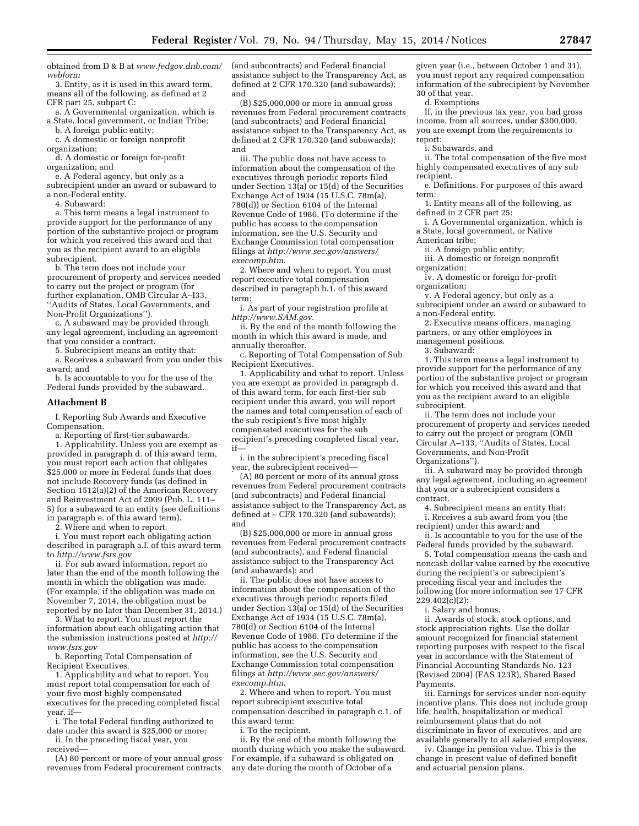obtained from D & B at *[www.fedgov.dnb.com/](http://www.fedgov.dnb.com/webform)  [webform](http://www.fedgov.dnb.com/webform)* 

3. Entity, as it is used in this award term, means all of the following, as defined at 2 CFR part 25, subpart C:

a. A Governmental organization, which is a State, local government, or Indian Tribe;

b. A foreign public entity; c. A domestic or foreign nonprofit

organization;

d. A domestic or foreign for-profit organization; and

e. A Federal agency, but only as a subrecipient under an award or subaward to a non-Federal entity.

4. Subaward:

a. This term means a legal instrument to provide support for the performance of any portion of the substantive project or program for which you received this award and that you as the recipient award to an eligible subrecipient.

b. The term does not include your procurement of property and services needed to carry out the project or program (for further explanation, OMB Circular A–I33, ''Audits of States, Local Governments, and Non-Profit Organizations'').

c. A subaward may be provided through any legal agreement, including an agreement that you consider a contract.

5. Subrecipient means an entity that:

a. Receives a subaward from you under this award; and

b. Is accountable to you for the use of the Federal funds provided by the subaward.

#### **Attachment B**

I. Reporting Sub Awards and Executive Compensation.

a. Reporting of first-tier subawards.

1. Applicability. Unless you are exempt as provided in paragraph d. of this award term, you must report each action that obligates \$25,000 or more in Federal funds that does not include Recovery funds (as defined in Section 1512(a)(2) of the American Recovery and Reinvestment Act of 2009 (Pub. L. 111– 5) for a subaward to an entity (see definitions in paragraph e. of this award term).

2. Where and when to report.

i. You must report each obligating action described in paragraph a.I. of this award term to *<http://www.fsrs.gov>* 

ii. For sub award information, report no later than the end of the month following the month in which the obligation was made. (For example, if the obligation was made on November 7, 2014, the obligation must be reported by no later than December 31, 2014.)

3. What to report. You must report the information about each obligating action that the submission instructions posted at *[http://](http://www.fsrs.gov)  [www.fsrs.gov](http://www.fsrs.gov)* 

b. Reporting Total Compensation of Recipient Executives.

1. Applicability and what to report. You must report total compensation for each of your five most highly compensated executives for the preceding completed fiscal year, if—

i. The total Federal funding authorized to date under this award is \$25,000 or more;

ii. In the preceding fiscal year, you received—

(A) 80 percent or more of your annual gross revenues from Federal procurement contracts

(and subcontracts) and Federal financial assistance subject to the Transparency Act, as defined at 2 CFR 170.320 (and subawards); and

(B) \$25,000,000 or more in annual gross revenues from Federal procurement contracts (and subcontracts) and Federal financial assistance subject to the Transparency Act, as defined at 2 CFR 170.320 (and subawards); and

iii. The public does not have access to information about the compensation of the executives through periodic reports filed under Section 13(a) or 15(d) of the Securities Exchange Act of 1934 (15 U.S.C. 78m(a), 780(d)) or Section 6104 of the Internal Revenue Code of 1986. (To determine if the public has access to the compensation information, see the U.S. Security and Exchange Commission total compensation filings at *[http://www.sec.gov/answers/](http://www.sec.gov/answers/execomp.htm) [execomp.htm](http://www.sec.gov/answers/execomp.htm)*.

2. Where and when to report. You must report executive total compensation described in paragraph b.1. of this award term:

i. As part of your registration profile at *<http://www.SAM.gov>*.

ii. By the end of the month following the month in which this award is made, and annually thereafter.

c. Reporting of Total Compensation of Sub Recipient Executives.

1. Applicability and what to report. Unless you are exempt as provided in paragraph d. of this award term, for each first-tier sub recipient under this award, you will report the names and total compensation of each of the sub recipient's five most highly compensated executives for the sub recipient's preceding completed fiscal year, if—

i. in the subrecipient's preceding fiscal year, the subrecipient received—

(A) 80 percent or more of its annual gross revenues from Federal procurement contracts (and subcontracts) and Federal financial assistance subject to the Transparency Act, as defined at ∼ CFR 170.320 (and subawards); and

(B) \$25,000,000 or more in annual gross revenues from Federal procurement contracts (and subcontracts), and Federal financial assistance subject to the Transparency Act (and subawards); and

ii. The public does not have access to information about the compensation of the executives through periodic reports filed under Section  $13(a)$  or  $15(d)$  of the Securities Exchange Act of 1934 (15 U.S.C. 78m(a), 780(d) or Section 6104 of the Internal Revenue Code of 1986. (To determine if the public has access to the compensation information, see the U.S. Security and Exchange Commission total compensation filings at *[http://www.sec.gov/answers/](http://www.sec.gov/answers/execomp.htm) [execomp.htm](http://www.sec.gov/answers/execomp.htm)*.

2. Where and when to report. You must report subrecipient executive total compensation described in paragraph c.1. of this award term:

i. To the recipient.

ii. By the end of the month following the month during which you make the subaward. For example, if a subaward is obligated on any date during the month of October of a

given year (i.e., between October 1 and 31), you must report any required compensation information of the subrecipient by November 30 of that year.

d. Exemptions

If, in the previous tax year, you had gross income, from all sources, under \$300,000, you are exempt from the requirements to report:

i. Subawards, and

ii. The total compensation of the five most highly compensated executives of any sub recipient.

e. Definitions. For purposes of this award term:

1. Entity means all of the following, as defined in 2 CFR part 25:

i. A Governmental organization, which is a State, local government, or Native

American tribe;

ii. A foreign public entity;

iii. A domestic or foreign nonprofit organization;

iv. A domestic or foreign for-profit organization;

v. A Federal agency, but only as a subrecipient under an award or subaward to a non-Federal entity.

2. Executive means officers, managing partners, or any other employees in

management positions.

3. Subaward:

1. This term means a legal instrument to provide support for the performance of any portion of the substantive project or program for which you received this award and that you as the recipient award to an eligible subrecipient.

ii. The term does not include your procurement of property and services needed to carry out the project or program (OMB Circular A–133, ''Audits of States, Local Governments, and Non-Profit Organizations'').

iii. A subaward may be provided through any legal agreement, including an agreement that you or a subrecipient considers a contract.

4. Subrecipient means an entity that: i. Receives a sub award from you (the

recipient) under this award; and ii. Is accountable to you for the use of the Federal funds provided by the subaward.

5. Total compensation means the cash and noncash dollar value earned by the executive during the recipient's or subrecipient's preceding fiscal year and includes the following (for more information see 17 CFR 229.402(c)(2):

i. Salary and bonus.

ii. Awards of stock, stock options, and stock appreciation rights. Use the dollar amount recognized for financial statement reporting purposes with respect to the fiscal year in accordance with the Statement of Financial Accounting Standards No. 123 (Revised 2004) (FAS 123R), Shared Based Payments.

iii. Earnings for services under non-equity incentive plans. This does not include group life, health, hospitalization or medical reimbursement plans that do not discriminate in favor of executives, and are available generally to all salaried employees.

iv. Change in pension value. This is the change in present value of defined benefit and actuarial pension plans.